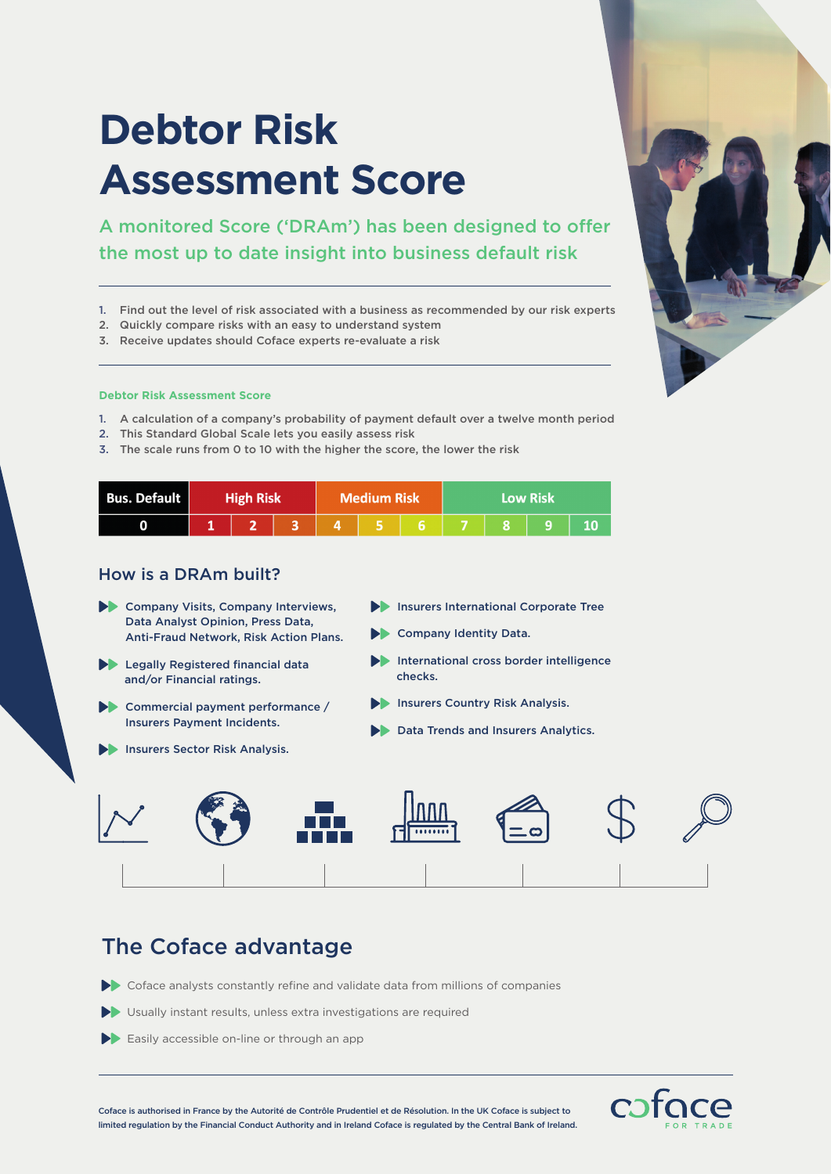# **Debtor Risk Assessment Score**

A monitored Score ('DRAm') has been designed to offer the most up to date insight into business default risk

- 1. Find out the level of risk associated with a business as recommended by our risk experts
- 2. Quickly compare risks with an easy to understand system
- 3. Receive updates should Coface experts re-evaluate a risk

#### **Debtor Risk Assessment Score**

- 1. A calculation of a company's probability of payment default over a twelve month period
- 2. This Standard Global Scale lets you easily assess risk
- 3. The scale runs from 0 to 10 with the higher the score, the lower the risk

| <b>Bus. Default</b> | <b>High Risk</b> |  |        | <b>Medium Risk</b> |  |  | <b>Low Risk</b> |  |  |  |
|---------------------|------------------|--|--------|--------------------|--|--|-----------------|--|--|--|
|                     |                  |  | 131451 |                    |  |  | 6 7 8 9         |  |  |  |

### How is a DRAm built?

- Company Visits, Company Interviews, Data Analyst Opinion, Press Data, Anti-Fraud Network, Risk Action Plans.
- $\blacktriangleright$  Legally Registered financial data and/or Financial ratings.
- Commercial payment performance / Insurers Payment Incidents.
- Insurers Sector Risk Analysis.
- Insurers International Corporate Tree
- Company Identity Data.
- International cross border intelligence checks.
- Insurers Country Risk Analysis.
- Data Trends and Insurers Analytics.



### The Coface advantage

- $\blacktriangleright$  Coface analysts constantly refine and validate data from millions of companies
- Usually instant results, unless extra investigations are required
- Easily accessible on-line or through an app



Coface is authorised in France by the Autorité de Contrôle Prudentiel et de Résolution. In the UK Coface is subject to limited regulation by the Financial Conduct Authority and in Ireland Coface is regulated by the Central Bank of Ireland.